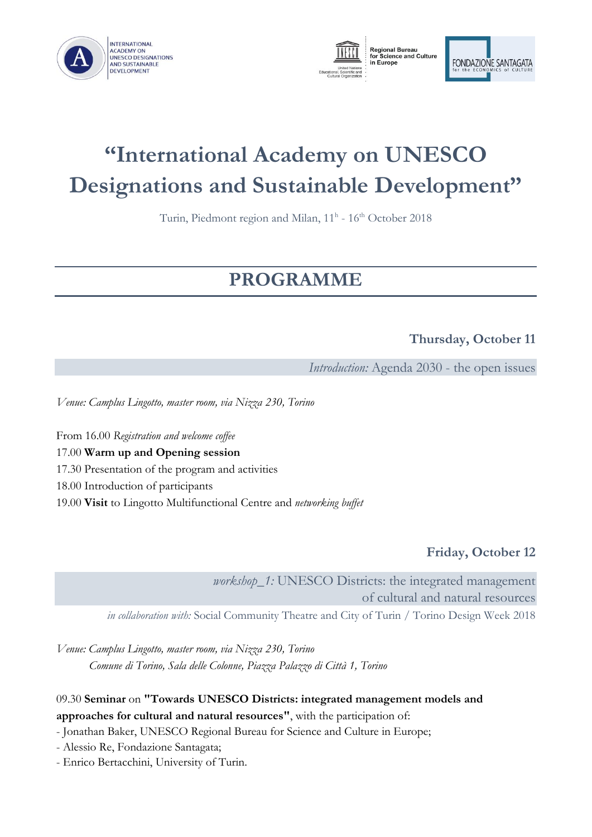





# **"International Academy on UNESCO Designations and Sustainable Development"**

Turin, Piedmont region and Milan, 11<sup>h</sup> - 16<sup>th</sup> October 2018

# **PROGRAMME**

# **Thursday, October 11**

*Introduction:* Agenda 2030 - the open issues

*Venue: Camplus Lingotto, master room, via Nizza 230, Torino*

From 16.00 *Registration and welcome coffee*

17.00 **Warm up and Opening session**

17.30 Presentation of the program and activities

18.00 Introduction of participants

19.00 **Visit** to Lingotto Multifunctional Centre and *networking buffet*

**Friday, October 12**

*workshop\_1:* UNESCO Districts: the integrated management of cultural and natural resources *in collaboration with:* Social Community Theatre and [City of Turin / Torino Design Week 2018](http://www.comune.torino.it/)

*Venue: Camplus Lingotto, master room, via Nizza 230, Torino Comune di Torino, Sala delle Colonne, Piazza Palazzo di Città 1, Torino*

09.30 **Seminar** on **"Towards UNESCO Districts: integrated management models and approaches for cultural and natural resources"**, with the participation of:

- Jonathan Baker, UNESCO Regional Bureau for Science and Culture in Europe;

- Alessio Re, Fondazione Santagata;
- Enrico Bertacchini, University of Turin.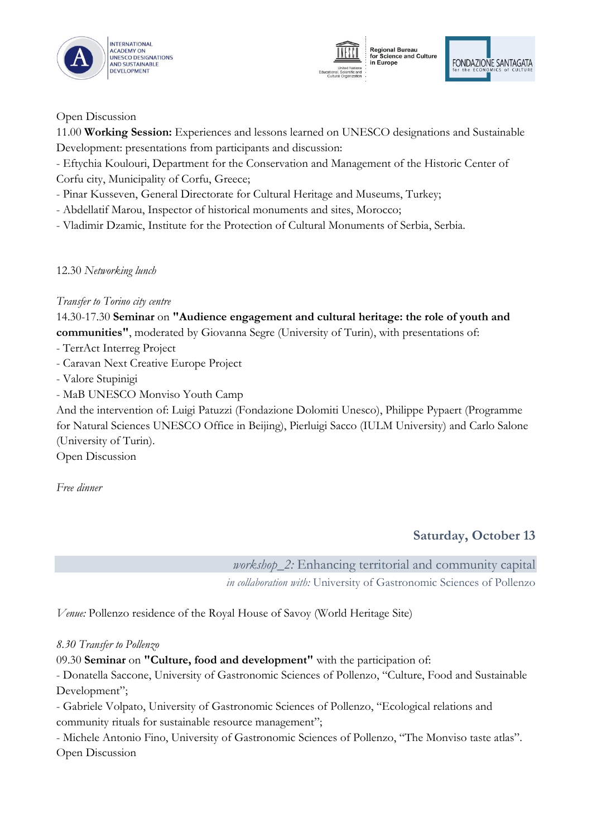





Open Discussion

11.00 **Working Session:** Experiences and lessons learned on UNESCO designations and Sustainable Development: presentations from participants and discussion:

- Eftychia Koulouri, Department for the Conservation and Management of the Historic Center of Corfu city, Municipality of Corfu, Greece;

- Pinar Kusseven, General Directorate for Cultural Heritage and Museums, Turkey;

- Abdellatif Marou, Inspector of historical monuments and sites, Morocco;

- Vladimir Dzamic, Institute for the Protection of Cultural Monuments of Serbia, Serbia.

12.30 *Networking lunch*

*Transfer to Torino city centre*

14.30-17.30 **Seminar** on **"Audience engagement and cultural heritage: the role of youth and communities"**, moderated by Giovanna Segre (University of Turin), with presentations of:

- TerrAct [Interreg](http://www.terract.eu/) Project
- Caravan Next [Creative](http://caravanext.eu/) Europe Project
- Valore [Stupinigi](https://www.fondazionesantagata.it/patrimonio-sviluppo-sosteniblita/conservazione-gestione-patrimonio/valore-stupinigi/)
- MaB UNESCO Monviso Youth Camp

And the intervention of: Luigi Patuzzi (Fondazione Dolomiti Unesco), Philippe Pypaert (Programme for Natural Sciences UNESCO Office in Beijing), Pierluigi Sacco (IULM University) and Carlo Salone (University of Turin).

Open Discussion

*Free dinner*

# **Saturday, October 13**

*workshop\_2:* Enhancing territorial and community capital

*in collaboration with:* University of Gastronomic Sciences of Pollenzo

*Venue:* Pollenzo residence of the Royal House of Savoy (World Heritage Site)

#### *8.30 Transfer to Pollenzo*

09.30 **Seminar** on **"Culture, food and development"** with the participation of:

- Donatella Saccone, University of Gastronomic Sciences of Pollenzo, "Culture, Food and Sustainable Development";

- Gabriele Volpato, University of Gastronomic Sciences of Pollenzo, "Ecological relations and community rituals for sustainable resource management";

- Michele Antonio Fino, University of Gastronomic Sciences of Pollenzo, "The Monviso taste atlas". Open Discussion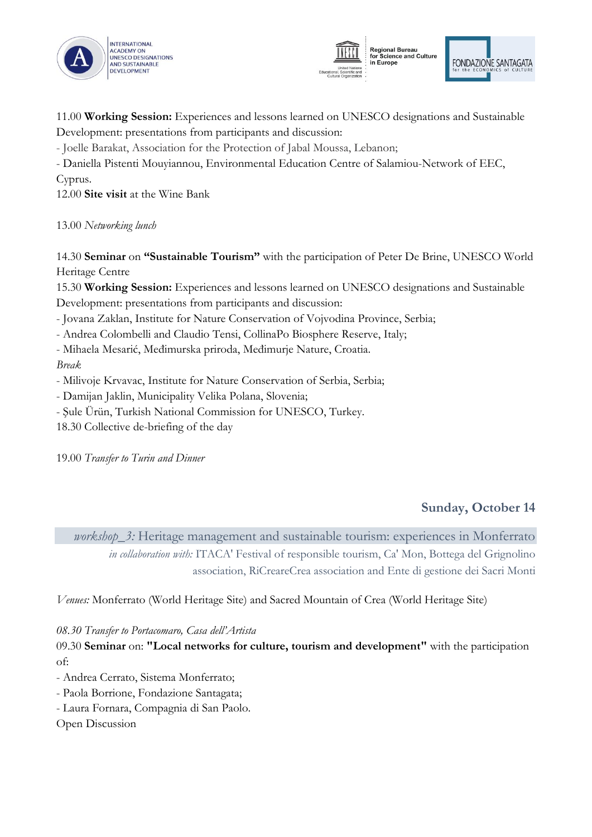





11.00 **Working Session:** Experiences and lessons learned on UNESCO designations and Sustainable Development: presentations from participants and discussion:

- Joelle Barakat, Association for the Protection of Jabal Moussa, Lebanon;

- Daniella Pistenti Mouyiannou, Environmental Education Centre of Salamiou-Network of EEC, Cyprus.

12.00 **Site visit** at the Wine Bank

13.00 *Networking lunch*

14.30 **Seminar** on **"Sustainable Tourism"** with the participation of Peter De Brine, UNESCO World Heritage Centre

15.30 **Working Session:** Experiences and lessons learned on UNESCO designations and Sustainable Development: presentations from participants and discussion:

- Jovana Zaklan, Institute for Nature Conservation of Vojvodina Province, Serbia;

- Andrea Colombelli and Claudio Tensi, CollinaPo Biosphere Reserve, Italy;

- Mihaela Mesarić, Međimurska priroda, Međimurje Nature, Croatia.

*Break*

- Milivoje Krvavac, Institute for Nature Conservation of Serbia, Serbia;

- Damijan Jaklin, Municipality Velika Polana, Slovenia;
- Şule Ürün, Turkish National Commission for UNESCO, Turkey.

18.30 Collective de-briefing of the day

19.00 *Transfer to Turin and Dinner*

# **Sunday, October 14**

*workshop\_3:* Heritage management and sustainable tourism: experiences in Monferrato *in collaboration with:* ITACA' Festival of responsible tourism, Ca' Mon, Bottega del Grignolino association, RiCreareCrea association and Ente di gestione dei Sacri Monti

*Venues:* Monferrato (World Heritage Site) and Sacred Mountain of Crea (World Heritage Site)

*08.30 Transfer to Portacomaro, Casa dell'Artista*

09.30 **Seminar** on: **"Local networks for culture, tourism and development"** with the participation of:

- Andrea Cerrato, Sistema Monferrato;
- Paola Borrione, Fondazione Santagata;
- Laura Fornara, Compagnia di San Paolo.

Open Discussion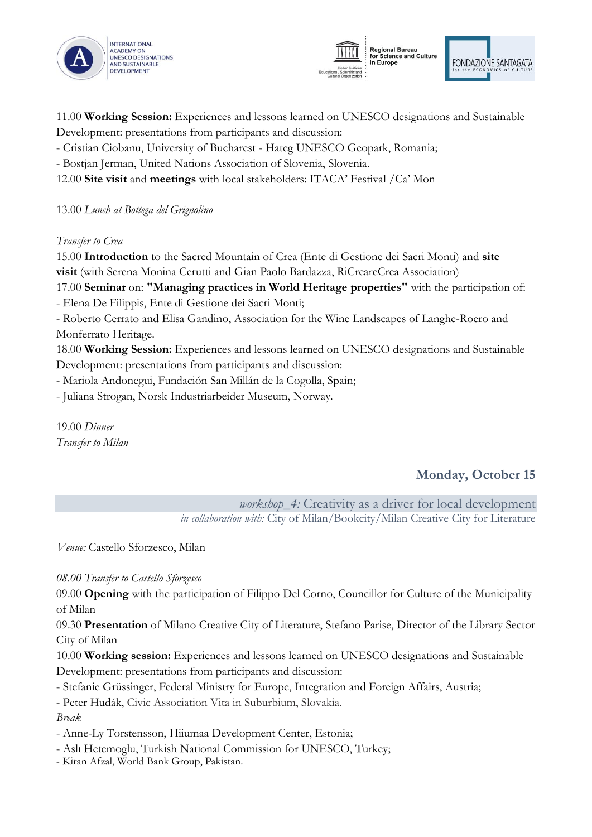





11.00 **Working Session:** Experiences and lessons learned on UNESCO designations and Sustainable Development: presentations from participants and discussion:

- Cristian Ciobanu, University of Bucharest Hateg UNESCO Geopark, Romania;
- Bostjan Jerman, United Nations Association of Slovenia, Slovenia.
- 12.00 **Site visit** and **meetings** with local stakeholders: ITACA' Festival /Ca' Mon

13.00 *Lunch at Bottega del Grignolino*

#### *Transfer to Crea*

15.00 **Introduction** to the Sacred Mountain of Crea (Ente di Gestione dei Sacri Monti) and **site visit** (with Serena Monina Cerutti and Gian Paolo Bardazza, RiCreareCrea Association)

17.00 **Seminar** on: **"Managing practices in World Heritage properties"** with the participation of: - Elena De Filippis, Ente di Gestione dei Sacri Monti;

- Roberto Cerrato and Elisa Gandino, Association for the Wine Landscapes of Langhe-Roero and Monferrato Heritage.

18.00 **Working Session:** Experiences and lessons learned on UNESCO designations and Sustainable Development: presentations from participants and discussion:

- Mariola Andonegui, Fundación San Millán de la Cogolla, Spain;

- Juliana Strogan, Norsk Industriarbeider Museum, Norway.

19.00 *Dinner Transfer to Milan*

# **Monday, October 15**

*workshop\_4:* Creativity as a driver for local development *in collaboration with:* City of Milan/Bookcity/Milan Creative City for Literature

*Venue:* Castello Sforzesco, Milan

*08.00 Transfer to Castello Sforzesco*

09.00 **Opening** with the participation of Filippo Del Corno, Councillor for Culture of the Municipality of Milan

09.30 **Presentation** of Milano Creative City of Literature, Stefano Parise, Director of the Library Sector City of Milan

10.00 **Working session:** Experiences and lessons learned on UNESCO designations and Sustainable Development: presentations from participants and discussion:

- Stefanie Grüssinger, Federal Ministry for Europe, Integration and Foreign Affairs, Austria;

- Peter Hudák, Civic Association Vita in Suburbium, Slovakia.

#### *Break*

- Anne-Ly Torstensson, Hiiumaa Development Center, Estonia;

- Aslı Hetemoglu, Turkish National Commission for UNESCO, Turkey;

- Kiran Afzal, World Bank Group, Pakistan.